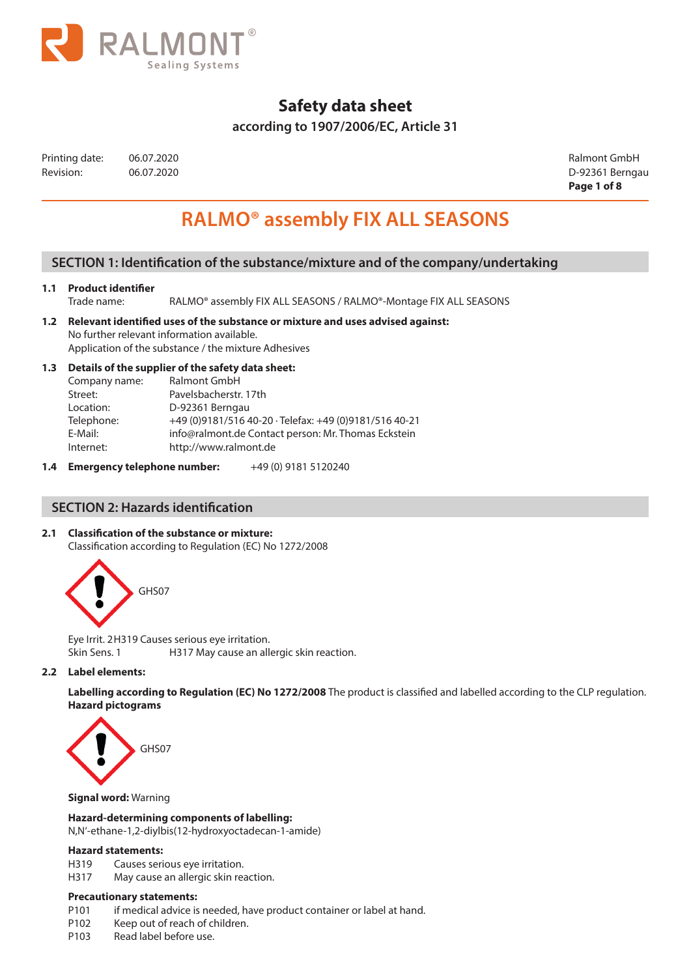

## **according to 1907/2006/EC, Article 31**

| Printing date: | 06.07. |
|----------------|--------|
| Revision:      | 06.07. |

Printing date: 06.07.2020 Ralmont GmbH Revision: 06.07.2020 D-92361 Berngau **Page 1 of 8**

# **RALMO® assembly FIX ALL SEASONS**

## **SECTION 1: Identification of the substance/mixture and of the company/undertaking**

#### **1.1 Product identifier**

- Trade name: RALMO® assembly FIX ALL SEASONS / RALMO®-Montage FIX ALL SEASONS
- **1.2 Relevant identified uses of the substance or mixture and uses advised against:**  No further relevant information available. Application of the substance / the mixture Adhesives

## **1.3 Details of the supplier of the safety data sheet:**

| Company name: | Ralmont GmbH                                           |
|---------------|--------------------------------------------------------|
| Street:       | Pavelsbacherstr. 17th                                  |
| Location:     | D-92361 Berngau                                        |
| Telephone:    | +49 (0)9181/516 40-20 · Telefax: +49 (0)9181/516 40-21 |
| E-Mail:       | info@ralmont.de Contact person: Mr. Thomas Eckstein    |
| Internet:     | http://www.ralmont.de                                  |

**1.4 Emergency telephone number:** +49 (0) 9181 5120240

## **SECTION 2: Hazards identification**

## **2.1 Classification of the substance or mixture:**

Classification according to Regulation (EC) No 1272/2008



Eye Irrit. 2H319 Causes serious eye irritation. Skin Sens. 1 **H317 May cause an allergic skin reaction.** 

#### **2.2 Label elements:**

**Labelling according to Regulation (EC) No 1272/2008** The product is classified and labelled according to the CLP regulation. **Hazard pictograms**



#### **Signal word:** Warning

#### **Hazard-determining components of labelling:**

N,N'-ethane-1,2-diylbis(12-hydroxyoctadecan-1-amide)

#### **Hazard statements:**

- H319 Causes serious eye irritation.
- H317 May cause an allergic skin reaction.

#### **Precautionary statements:**

- P101 if medical advice is needed, have product container or label at hand.
- P102 Keep out of reach of children.
- P103 Read label before use.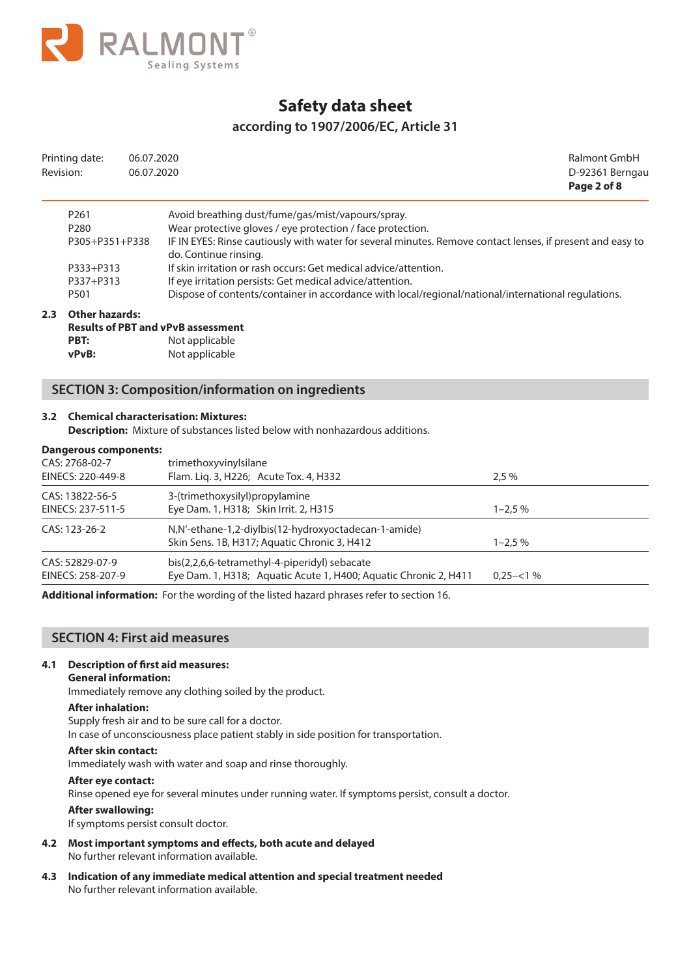

## **according to 1907/2006/EC, Article 31**

| Printing date:   | 06.07.2020                                                                                                                          | Ralmont GmbH    |
|------------------|-------------------------------------------------------------------------------------------------------------------------------------|-----------------|
| Revision:        | 06.07.2020                                                                                                                          | D-92361 Berngau |
|                  |                                                                                                                                     | Page 2 of 8     |
| P <sub>261</sub> | Avoid breathing dust/fume/gas/mist/vapours/spray.                                                                                   |                 |
| P <sub>280</sub> | Wear protective gloves / eye protection / face protection.                                                                          |                 |
| P305+P351+P338   | IF IN EYES: Rinse cautiously with water for several minutes. Remove contact lenses, if present and easy to<br>do. Continue rinsing. |                 |
| P333+P313        | If skin irritation or rash occurs: Get medical advice/attention.                                                                    |                 |
| P337+P313        | If eye irritation persists: Get medical advice/attention.                                                                           |                 |
| P <sub>501</sub> | Dispose of contents/container in accordance with local/regional/national/international regulations.                                 |                 |

### **2.3 Other hazards:**

|       | <b>Results of PBT and vPvB assessment</b> |
|-------|-------------------------------------------|
| PBT:  | Not applicable                            |
| vPvB: | Not applicable                            |

## **SECTION 3: Composition/information on ingredients**

#### **3.2 Chemical characterisation: Mixtures:**

**Description:** Mixture of substances listed below with nonhazardous additions.

#### **Dangerous components:**

| CAS: 2768-02-7<br>EINECS: 220-449-8  | trimethoxyvinylsilane<br>Flam. Liq. 3, H226; Acute Tox. 4, H332                                                   | 2.5%        |
|--------------------------------------|-------------------------------------------------------------------------------------------------------------------|-------------|
| CAS: 13822-56-5<br>EINECS: 237-511-5 | 3-(trimethoxysilyl)propylamine<br>Eye Dam. 1, H318; Skin Irrit. 2, H315                                           | $1 - 2.5\%$ |
| CAS: 123-26-2                        | N, N'-ethane-1, 2-diylbis (12-hydroxy octade can-1-amide)<br>Skin Sens. 1B, H317; Aquatic Chronic 3, H412         | $1 - 2.5\%$ |
| CAS: 52829-07-9<br>EINECS: 258-207-9 | bis(2,2,6,6-tetramethyl-4-piperidyl) sebacate<br>Eye Dam. 1, H318; Aquatic Acute 1, H400; Aquatic Chronic 2, H411 | $0.25 - 1%$ |

**Additional information:** For the wording of the listed hazard phrases refer to section 16.

## **SECTION 4: First aid measures**

#### **4.1 Description of first aid measures:**

#### **General information:**

Immediately remove any clothing soiled by the product.

#### **After inhalation:**

Supply fresh air and to be sure call for a doctor.

In case of unconsciousness place patient stably in side position for transportation.

#### **After skin contact:**

Immediately wash with water and soap and rinse thoroughly.

#### **After eye contact:**

Rinse opened eye for several minutes under running water. If symptoms persist, consult a doctor.

#### **After swallowing:**

If symptoms persist consult doctor.

- **4.2 Most important symptoms and effects, both acute and delayed**  No further relevant information available.
- **4.3 Indication of any immediate medical attention and special treatment needed**  No further relevant information available.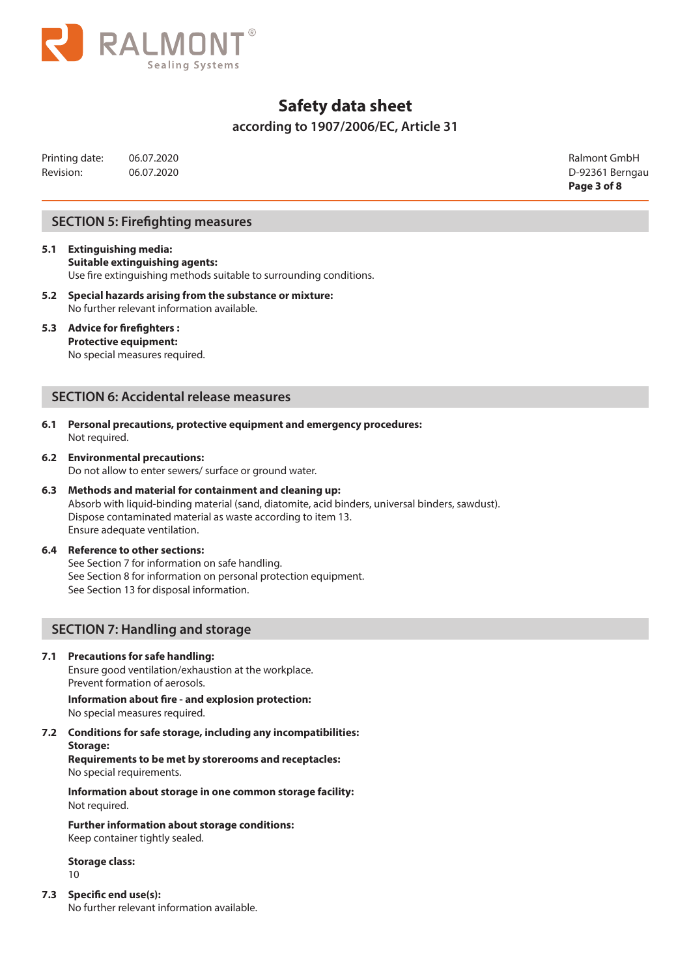

## **according to 1907/2006/EC, Article 31**

Printing date: 06.07.2020 Ralmont GmbH Revision: 06.07.2020 06.07.2020 06.07.2020 06.07.2020 06.07.2020 06.07.2020 06.07.2020 06.07.2020 06.07.2020 0

**Page 3 of 8**

## **SECTION 5: Firefighting measures**

- **5.1 Extinguishing media: Suitable extinguishing agents:**  Use fire extinguishing methods suitable to surrounding conditions.
- **5.2 Special hazards arising from the substance or mixture:**  No further relevant information available.

### **5.3 Advice for firefighters :**

**Protective equipment:**  No special measures required.

### **SECTION 6: Accidental release measures**

- **6.1 Personal precautions, protective equipment and emergency procedures:**  Not required.
- **6.2 Environmental precautions:**  Do not allow to enter sewers/ surface or ground water.
- **6.3 Methods and material for containment and cleaning up:**  Absorb with liquid-binding material (sand, diatomite, acid binders, universal binders, sawdust). Dispose contaminated material as waste according to item 13. Ensure adequate ventilation.

#### **6.4 Reference to other sections:**

See Section 7 for information on safe handling. See Section 8 for information on personal protection equipment. See Section 13 for disposal information.

## **SECTION 7: Handling and storage**

#### **7.1 Precautions for safe handling:**

Ensure good ventilation/exhaustion at the workplace. Prevent formation of aerosols.

**Information about fire - and explosion protection:**  No special measures required.

**7.2 Conditions for safe storage, including any incompatibilities:** 

**Storage: Requirements to be met by storerooms and receptacles:**  No special requirements.

**Information about storage in one common storage facility:**  Not required.

**Further information about storage conditions:**  Keep container tightly sealed.

**Storage class:** 

10

**7.3 Specific end use(s):**

No further relevant information available.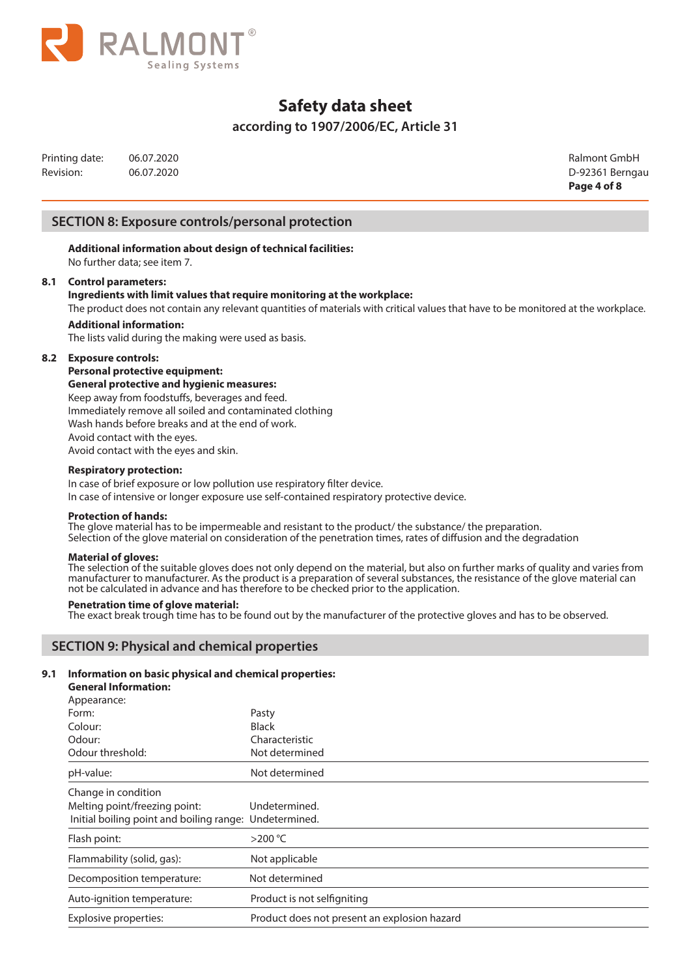

## **according to 1907/2006/EC, Article 31**

Printing date: 06.07.2020 Ralmont GmbH Revision: 06.07.2020 06.07.2020 06.07.2020 06.07.2020 06.07.2020 06.07.2020 06.07.2020 06.07.2020 06.07.2020 0

**Page 4 of 8**

## **SECTION 8: Exposure controls/personal protection**

**Additional information about design of technical facilities:**  No further data; see item 7.

#### **8.1 Control parameters:**

### **Ingredients with limit values that require monitoring at the workplace:**

The product does not contain any relevant quantities of materials with critical values that have to be monitored at the workplace.

## **Additional information:**

The lists valid during the making were used as basis.

#### **8.2 Exposure controls:**

**Personal protective equipment:** 

**General protective and hygienic measures:**

Keep away from foodstuffs, beverages and feed. Immediately remove all soiled and contaminated clothing Wash hands before breaks and at the end of work. Avoid contact with the eyes. Avoid contact with the eyes and skin.

#### **Respiratory protection:**

In case of brief exposure or low pollution use respiratory filter device.

In case of intensive or longer exposure use self-contained respiratory protective device.

#### **Protection of hands:**

The glove material has to be impermeable and resistant to the product/ the substance/ the preparation. Selection of the glove material on consideration of the penetration times, rates of diffusion and the degradation

#### **Material of gloves:**

The selection of the suitable gloves does not only depend on the material, but also on further marks of quality and varies from manufacturer to manufacturer. As the product is a preparation of several substances, the resistance of the glove material can not be calculated in advance and has therefore to be checked prior to the application.

#### **Penetration time of glove material:**

The exact break trough time has to be found out by the manufacturer of the protective gloves and has to be observed.

## **SECTION 9: Physical and chemical properties**

#### **9.1 Information on basic physical and chemical properties:**

**General Information:**

| Appearance:                                            |                                              |
|--------------------------------------------------------|----------------------------------------------|
| Form:                                                  | Pasty                                        |
| Colour:                                                | <b>Black</b>                                 |
| Odour:                                                 | Characteristic                               |
| Odour threshold:                                       | Not determined                               |
| pH-value:                                              | Not determined                               |
| Change in condition                                    |                                              |
| Melting point/freezing point:                          | Undetermined.                                |
| Initial boiling point and boiling range: Undetermined. |                                              |
| Flash point:                                           | $>200^{\circ}$ C                             |
| Flammability (solid, gas):                             | Not applicable                               |
| Decomposition temperature:                             | Not determined                               |
| Auto-ignition temperature:                             | Product is not selfigniting                  |
| Explosive properties:                                  | Product does not present an explosion hazard |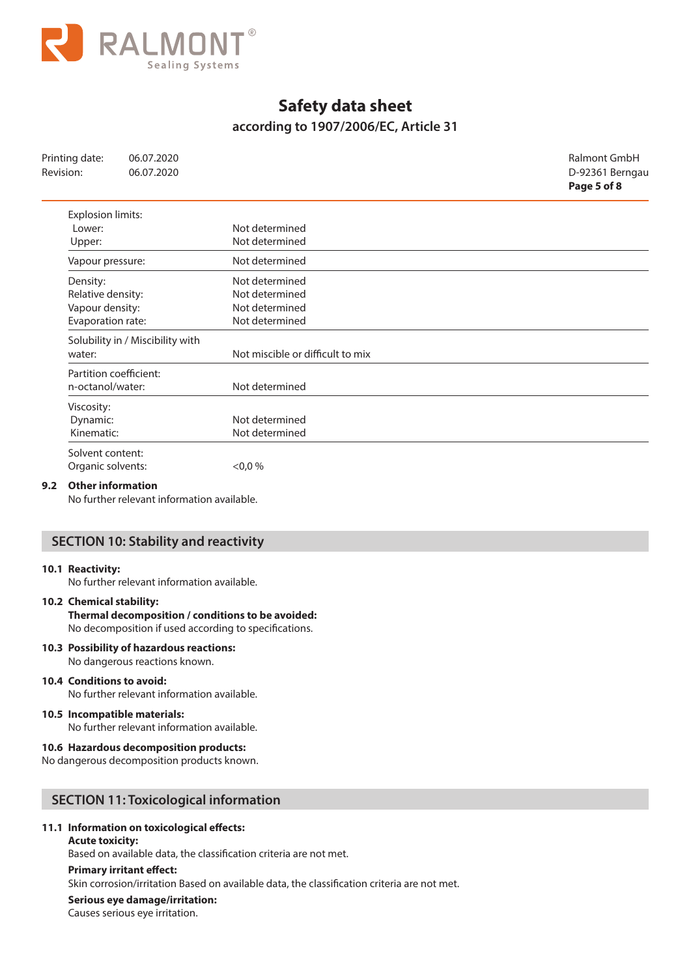

## **according to 1907/2006/EC, Article 31**

| Printing date:           | 06.07.2020                       |                                  | Ralmont GmbH    |
|--------------------------|----------------------------------|----------------------------------|-----------------|
| Revision:                | 06.07.2020                       |                                  | D-92361 Berngau |
|                          |                                  |                                  | Page 5 of 8     |
| <b>Explosion limits:</b> |                                  |                                  |                 |
| Lower:                   |                                  | Not determined                   |                 |
| Upper:                   |                                  | Not determined                   |                 |
| Vapour pressure:         |                                  | Not determined                   |                 |
| Density:                 |                                  | Not determined                   |                 |
| Relative density:        |                                  | Not determined                   |                 |
| Vapour density:          |                                  | Not determined                   |                 |
| Evaporation rate:        |                                  | Not determined                   |                 |
|                          | Solubility in / Miscibility with |                                  |                 |
| water:                   |                                  | Not miscible or difficult to mix |                 |
| Partition coefficient:   |                                  |                                  |                 |
| n-octanol/water:         |                                  | Not determined                   |                 |
| Viscosity:               |                                  |                                  |                 |
| Dynamic:                 |                                  | Not determined                   |                 |
| Kinematic:               |                                  | Not determined                   |                 |
| Solvent content:         |                                  |                                  |                 |
| Organic solvents:        |                                  | $0,0\%$                          |                 |

#### **9.2 Other information**

No further relevant information available.

## **SECTION 10: Stability and reactivity**

#### **10.1 Reactivity:**

No further relevant information available.

#### **10.2 Chemical stability:**

**Thermal decomposition / conditions to be avoided:**  No decomposition if used according to specifications.

#### **10.3 Possibility of hazardous reactions:**

No dangerous reactions known.

#### **10.4 Conditions to avoid:**

No further relevant information available.

#### **10.5 Incompatible materials:**

No further relevant information available.

#### **10.6 Hazardous decomposition products:**

No dangerous decomposition products known.

### **SECTION 11: Toxicological information**

#### **11.1 Information on toxicological effects:**

#### **Acute toxicity:**

Based on available data, the classification criteria are not met.

#### **Primary irritant effect:**

Skin corrosion/irritation Based on available data, the classification criteria are not met.

### **Serious eye damage/irritation:**

Causes serious eye irritation.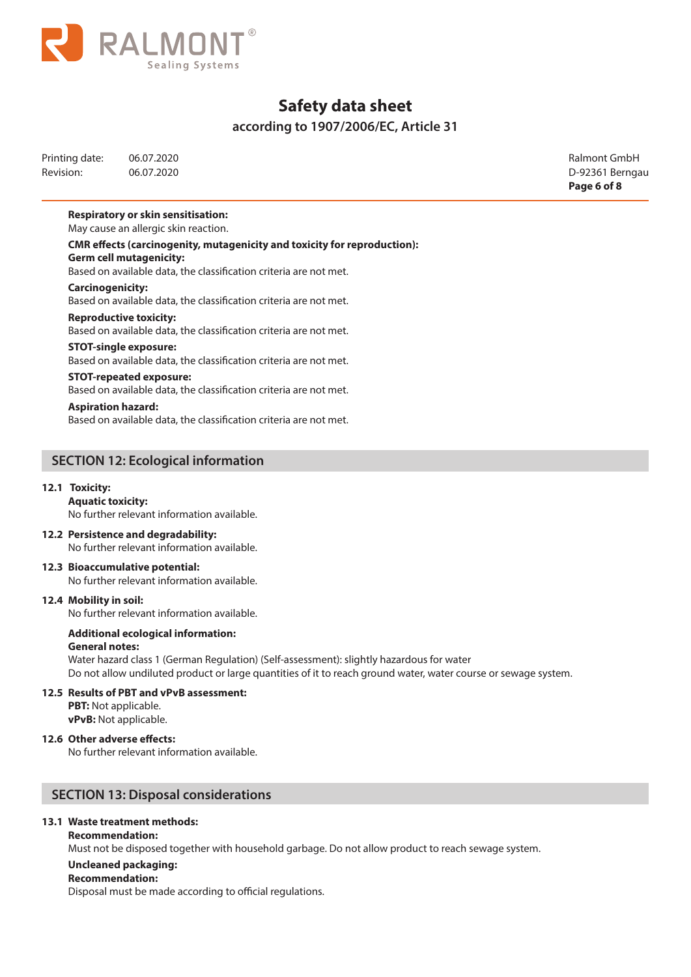

## **according to 1907/2006/EC, Article 31**

| Printing date: | 06.07.2020 |
|----------------|------------|
| Revision:      | 06.07.2020 |

**Ralmont GmbH** D-92361 Berngau **Page 6 of 8**

### **Respiratory or skin sensitisation:**

May cause an allergic skin reaction.

**CMR effects (carcinogenity, mutagenicity and toxicity for reproduction): Germ cell mutagenicity:** 

Based on available data, the classification criteria are not met.

#### **Carcinogenicity:**

Based on available data, the classification criteria are not met.

#### **Reproductive toxicity:**

Based on available data, the classification criteria are not met.

#### **STOT-single exposure:**

Based on available data, the classification criteria are not met.

#### **STOT-repeated exposure:**

Based on available data, the classification criteria are not met.

#### **Aspiration hazard:**

Based on available data, the classification criteria are not met.

## **SECTION 12: Ecological information**

#### **12.1 Toxicity:**

**Aquatic toxicity:** 

# No further relevant information available.

**12.2 Persistence and degradability:**  No further relevant information available.

#### **12.3 Bioaccumulative potential:**  No further relevant information available.

#### **12.4 Mobility in soil:**

No further relevant information available.

#### **Additional ecological information: General notes:**

Water hazard class 1 (German Regulation) (Self-assessment): slightly hazardous for water Do not allow undiluted product or large quantities of it to reach ground water, water course or sewage system.

#### **12.5 Results of PBT and vPvB assessment:**

**PBT:** Not applicable. **vPvB:** Not applicable.

#### **12.6 Other adverse effects:**

No further relevant information available.

## **SECTION 13: Disposal considerations**

## **13.1 Waste treatment methods:**

#### **Recommendation:**

Must not be disposed together with household garbage. Do not allow product to reach sewage system.

#### **Uncleaned packaging:**

#### **Recommendation:**

Disposal must be made according to official regulations.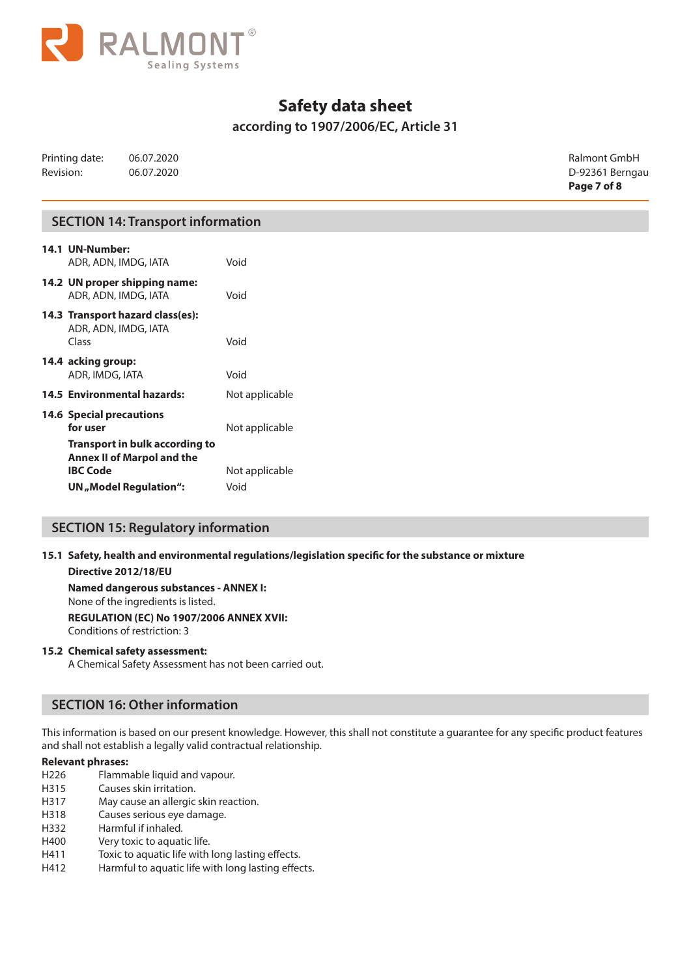

## **according to 1907/2006/EC, Article 31**

|                |            | Page 7 of 8     |
|----------------|------------|-----------------|
| Revision:      | 06.07.2020 | D-92361 Berngau |
| Printing date: | 06.07.2020 | Ralmont GmbH    |

## **SECTION 14: Transport information**

| 14.1 UN-Number:<br>ADR, ADN, IMDG, IATA                                                | Void           |
|----------------------------------------------------------------------------------------|----------------|
| 14.2 UN proper shipping name:<br>ADR, ADN, IMDG, IATA                                  | Void           |
| 14.3 Transport hazard class(es):<br>ADR, ADN, IMDG, IATA<br>Class                      | Void           |
| 14.4 acking group:<br>ADR, IMDG, IATA                                                  | Void           |
| <b>14.5 Environmental hazards:</b>                                                     | Not applicable |
| <b>14.6 Special precautions</b><br>for user                                            | Not applicable |
| Transport in bulk according to<br><b>Annex II of Marpol and the</b><br><b>IBC Code</b> | Not applicable |
| UN "Model Regulation":                                                                 | Void           |

## **SECTION 15: Regulatory information**

**15.1 Safety, health and environmental regulations/legislation specific for the substance or mixture** 

#### **Directive 2012/18/EU**

**Named dangerous substances - ANNEX I:**

None of the ingredients is listed.

**REGULATION (EC) No 1907/2006 ANNEX XVII:** Conditions of restriction: 3

#### **15.2 Chemical safety assessment:**

A Chemical Safety Assessment has not been carried out.

## **SECTION 16: Other information**

This information is based on our present knowledge. However, this shall not constitute a guarantee for any specific product features and shall not establish a legally valid contractual relationship.

#### **Relevant phrases:**

- H226 Flammable liquid and vapour.
- H315 Causes skin irritation.
- H317 May cause an allergic skin reaction.
- H318 Causes serious eye damage.
- H332 Harmful if inhaled.
- H400 Very toxic to aquatic life.
- H411 Toxic to aquatic life with long lasting effects.
- H412 Harmful to aquatic life with long lasting effects.